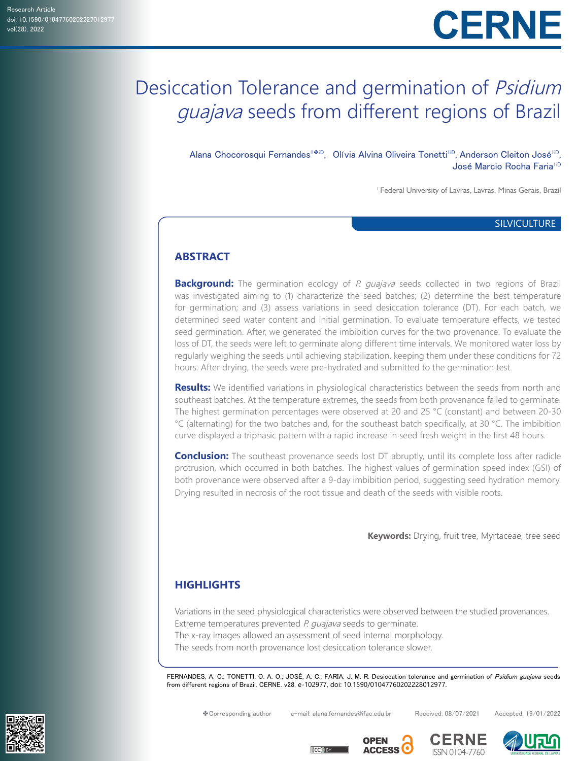# Desiccation Tolerance and germination of Psidium guajava seeds from different regions of Brazil

Alana Chocorosqui Fernandes<sup>1♣iD</sup>, Olívia Alvina Oliveira Tonetti<sup>1iD</sup>, Anderson Cleiton José<sup>1iD</sup>, José Marcio Rocha Faria<sup>1iD</sup>

1 Federal University of Lavras, Lavras, Minas Gerais, Brazil

## **SILVICULTURE**

# **ABSTRACT**

**Background:** The germination ecology of P. quajava seeds collected in two regions of Brazil was investigated aiming to (1) characterize the seed batches; (2) determine the best temperature for germination; and (3) assess variations in seed desiccation tolerance (DT). For each batch, we determined seed water content and initial germination. To evaluate temperature effects, we tested seed germination. After, we generated the imbibition curves for the two provenance. To evaluate the loss of DT, the seeds were left to germinate along different time intervals. We monitored water loss by regularly weighing the seeds until achieving stabilization, keeping them under these conditions for 72 hours. After drying, the seeds were pre-hydrated and submitted to the germination test.

**Results:** We identified variations in physiological characteristics between the seeds from north and southeast batches. At the temperature extremes, the seeds from both provenance failed to germinate. The highest germination percentages were observed at 20 and 25 °C (constant) and between 20-30 °C (alternating) for the two batches and, for the southeast batch specifically, at 30 °C. The imbibition curve displayed a triphasic pattern with a rapid increase in seed fresh weight in the first 48 hours.

**Conclusion:** The southeast provenance seeds lost DT abruptly, until its complete loss after radicle protrusion, which occurred in both batches. The highest values of germination speed index (GSI) of both provenance were observed after a 9-day imbibition period, suggesting seed hydration memory. Drying resulted in necrosis of the root tissue and death of the seeds with visible roots.

 **Keywords:** Drying, fruit tree, Myrtaceae, tree seed

# **HIGHLIGHTS**

Variations in the seed physiological characteristics were observed between the studied provenances. Extreme temperatures prevented P. guajava seeds to germinate.

The x-ray images allowed an assessment of seed internal morphology.

The seeds from north provenance lost desiccation tolerance slower.

FERNANDES, A. C.; TONETTI, O. A. O.; JOSÉ, A. C.; FARIA, J. M. R. Desiccation tolerance and germination of Psidium guajava seeds from different regions of Brazil. CERNE. v28, e-102977, doi: 10.1590/01047760202228012977.

✤Corresponding author e-mail: alana.fernandes@ifac.edu.br Received: 08/07/2021 Accepted: 19/01/2022







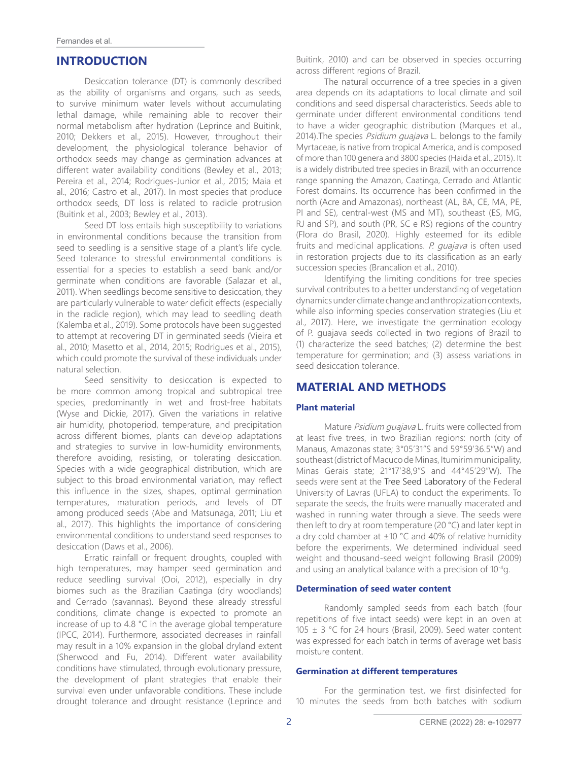# **INTRODUCTION**

Desiccation tolerance (DT) is commonly described as the ability of organisms and organs, such as seeds, to survive minimum water levels without accumulating lethal damage, while remaining able to recover their normal metabolism after hydration (Leprince and Buitink, 2010; Dekkers et al., 2015). However, throughout their development, the physiological tolerance behavior of orthodox seeds may change as germination advances at different water availability conditions (Bewley et al., 2013; Pereira et al., 2014; Rodrigues-Junior et al., 2015; Maia et al., 2016; Castro et al., 2017). In most species that produce orthodox seeds, DT loss is related to radicle protrusion (Buitink et al., 2003; Bewley et al., 2013).

Seed DT loss entails high susceptibility to variations in environmental conditions because the transition from seed to seedling is a sensitive stage of a plant's life cycle. Seed tolerance to stressful environmental conditions is essential for a species to establish a seed bank and/or germinate when conditions are favorable (Salazar et al., 2011). When seedlings become sensitive to desiccation, they are particularly vulnerable to water deficit effects (especially in the radicle region), which may lead to seedling death (Kalemba et al., 2019). Some protocols have been suggested to attempt at recovering DT in germinated seeds (Vieira et al., 2010; Masetto et al., 2014, 2015; Rodrigues et al., 2015), which could promote the survival of these individuals under natural selection.

Seed sensitivity to desiccation is expected to be more common among tropical and subtropical tree species, predominantly in wet and frost-free habitats (Wyse and Dickie, 2017). Given the variations in relative air humidity, photoperiod, temperature, and precipitation across different biomes, plants can develop adaptations and strategies to survive in low-humidity environments, therefore avoiding, resisting, or tolerating desiccation. Species with a wide geographical distribution, which are subject to this broad environmental variation, may reflect this influence in the sizes, shapes, optimal germination temperatures, maturation periods, and levels of DT among produced seeds (Abe and Matsunaga, 2011; Liu et al., 2017). This highlights the importance of considering environmental conditions to understand seed responses to desiccation (Daws et al., 2006).

Erratic rainfall or frequent droughts, coupled with high temperatures, may hamper seed germination and reduce seedling survival (Ooi, 2012), especially in dry biomes such as the Brazilian Caatinga (dry woodlands) and Cerrado (savannas). Beyond these already stressful conditions, climate change is expected to promote an increase of up to 4.8 °C in the average global temperature (IPCC, 2014). Furthermore, associated decreases in rainfall may result in a 10% expansion in the global dryland extent (Sherwood and Fu, 2014). Different water availability conditions have stimulated, through evolutionary pressure, the development of plant strategies that enable their survival even under unfavorable conditions. These include drought tolerance and drought resistance (Leprince and

Buitink, 2010) and can be observed in species occurring across different regions of Brazil.

The natural occurrence of a tree species in a given area depends on its adaptations to local climate and soil conditions and seed dispersal characteristics. Seeds able to germinate under different environmental conditions tend to have a wider geographic distribution (Marques et al., 2014). The species *Psidium quajava* L. belongs to the family Myrtaceae, is native from tropical America, and is composed of more than 100 genera and 3800 species (Haida et al., 2015). It is a widely distributed tree species in Brazil, with an occurrence range spanning the Amazon, Caatinga, Cerrado and Atlantic Forest domains. Its occurrence has been confirmed in the north (Acre and Amazonas), northeast (AL, BA, CE, MA, PE, PI and SE), central-west (MS and MT), southeast (ES, MG, RJ and SP), and south (PR, SC e RS) regions of the country (Flora do Brasil, 2020). Highly esteemed for its edible fruits and medicinal applications. P. guajava is often used in restoration projects due to its classification as an early succession species (Brancalion et al., 2010).

Identifying the limiting conditions for tree species survival contributes to a better understanding of vegetation dynamics under climate change and anthropization contexts, while also informing species conservation strategies (Liu et al., 2017). Here, we investigate the germination ecology of P. guajava seeds collected in two regions of Brazil to (1) characterize the seed batches; (2) determine the best temperature for germination; and (3) assess variations in seed desiccation tolerance.

# **MATERIAL AND METHODS**

#### **Plant material**

Mature Psidium quajava L. fruits were collected from at least five trees, in two Brazilian regions: north (city of Manaus, Amazonas state; 3°05'31''S and 59°59'36.5''W) and southeast (district of Macuco de Minas, Itumirim municipality, Minas Gerais state; 21°17'38,9''S and 44°45'29''W). The seeds were sent at the Tree Seed Laboratory of the Federal University of Lavras (UFLA) to conduct the experiments. To separate the seeds, the fruits were manually macerated and washed in running water through a sieve. The seeds were then left to dry at room temperature (20 °C) and later kept in a dry cold chamber at  $\pm 10$  °C and 40% of relative humidity before the experiments. We determined individual seed weight and thousand-seed weight following Brasil (2009) and using an analytical balance with a precision of 10-4g.

#### **Determination of seed water content**

Randomly sampled seeds from each batch (four repetitions of five intact seeds) were kept in an oven at 105 ± 3 °C for 24 hours (Brasil, 2009). Seed water content was expressed for each batch in terms of average wet basis moisture content.

#### **Germination at different temperatures**

For the germination test, we first disinfected for 10 minutes the seeds from both batches with sodium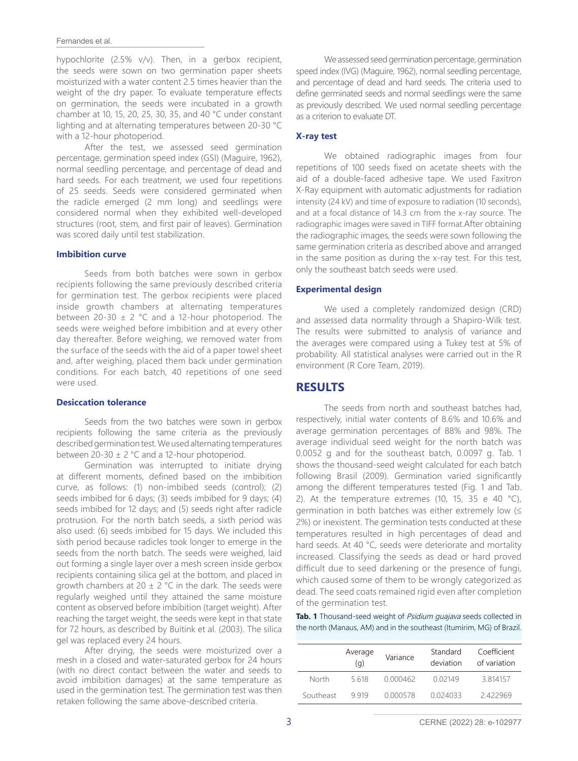#### Fernandes et al.

hypochlorite (2.5% v/v). Then, in a gerbox recipient, the seeds were sown on two germination paper sheets moisturized with a water content 2.5 times heavier than the weight of the dry paper. To evaluate temperature effects on germination, the seeds were incubated in a growth chamber at 10, 15, 20, 25, 30, 35, and 40 °C under constant lighting and at alternating temperatures between 20-30 °C with a 12-hour photoperiod.

After the test, we assessed seed germination percentage, germination speed index (GSI) (Maguire, 1962), normal seedling percentage, and percentage of dead and hard seeds. For each treatment, we used four repetitions of 25 seeds. Seeds were considered germinated when the radicle emerged (2 mm long) and seedlings were considered normal when they exhibited well-developed structures (root, stem, and first pair of leaves). Germination was scored daily until test stabilization.

#### **Imbibition curve**

Seeds from both batches were sown in gerbox recipients following the same previously described criteria for germination test. The gerbox recipients were placed inside growth chambers at alternating temperatures between 20-30  $\pm$  2 °C and a 12-hour photoperiod. The seeds were weighed before imbibition and at every other day thereafter. Before weighing, we removed water from the surface of the seeds with the aid of a paper towel sheet and, after weighing, placed them back under germination conditions. For each batch, 40 repetitions of one seed were used.

#### **Desiccation tolerance**

Seeds from the two batches were sown in gerbox recipients following the same criteria as the previously described germination test. We used alternating temperatures between  $20-30 \pm 2$  °C and a 12-hour photoperiod.

Germination was interrupted to initiate drying at different moments, defined based on the imbibition curve, as follows: (1) non-imbibed seeds (control); (2) seeds imbibed for 6 days; (3) seeds imbibed for 9 days; (4) seeds imbibed for 12 days; and (5) seeds right after radicle protrusion. For the north batch seeds, a sixth period was also used: (6) seeds imbibed for 15 days. We included this sixth period because radicles took longer to emerge in the seeds from the north batch. The seeds were weighed, laid out forming a single layer over a mesh screen inside gerbox recipients containing silica gel at the bottom, and placed in growth chambers at 20  $\pm$  2 °C in the dark. The seeds were regularly weighed until they attained the same moisture content as observed before imbibition (target weight). After reaching the target weight, the seeds were kept in that state for 72 hours, as described by Buitink et al. (2003). The silica gel was replaced every 24 hours.

After drying, the seeds were moisturized over a mesh in a closed and water-saturated gerbox for 24 hours (with no direct contact between the water and seeds to avoid imbibition damages) at the same temperature as used in the germination test. The germination test was then retaken following the same above-described criteria.

We assessed seed germination percentage, germination speed index (IVG) (Maguire, 1962), normal seedling percentage, and percentage of dead and hard seeds. The criteria used to define germinated seeds and normal seedlings were the same as previously described. We used normal seedling percentage as a criterion to evaluate DT.

## **X-ray test**

We obtained radiographic images from four repetitions of 100 seeds fixed on acetate sheets with the aid of a double-faced adhesive tape. We used Faxitron X-Ray equipment with automatic adjustments for radiation intensity (24 kV) and time of exposure to radiation (10 seconds), and at a focal distance of 14.3 cm from the x-ray source. The radiographic images were saved in TIFF format.After obtaining the radiographic images, the seeds were sown following the same germination criteria as described above and arranged in the same position as during the x-ray test. For this test, only the southeast batch seeds were used.

#### **Experimental design**

We used a completely randomized design (CRD) and assessed data normality through a Shapiro-Wilk test. The results were submitted to analysis of variance and the averages were compared using a Tukey test at 5% of probability. All statistical analyses were carried out in the R environment (R Core Team, 2019).

# **RESULTS**

The seeds from north and southeast batches had, respectively, initial water contents of 8.6% and 10.6% and average germination percentages of 88% and 98%. The average individual seed weight for the north batch was 0.0052 g and for the southeast batch, 0.0097 g. Tab. 1 shows the thousand-seed weight calculated for each batch following Brasil (2009). Germination varied significantly among the different temperatures tested (Fig. 1 and Tab. 2). At the temperature extremes (10, 15, 35 e 40  $^{\circ}$ C), germination in both batches was either extremely low  $(≤$ 2%) or inexistent. The germination tests conducted at these temperatures resulted in high percentages of dead and hard seeds. At 40 °C, seeds were deteriorate and mortality increased. Classifying the seeds as dead or hard proved difficult due to seed darkening or the presence of fungi, which caused some of them to be wrongly categorized as dead. The seed coats remained rigid even after completion of the germination test.

## Tab. 1 Thousand-seed weight of *Psidium quajava* seeds collected in the north (Manaus, AM) and in the southeast (Itumirim, MG) of Brazil.

|           | Average<br>(q) | Variance | Standard<br>deviation | Coefficient<br>of variation |
|-----------|----------------|----------|-----------------------|-----------------------------|
| North     | 5618           | 0.000462 | 0.02149               | 3.814157                    |
| Southeast | 9919           | 0.000578 | 0024033               | 2422969                     |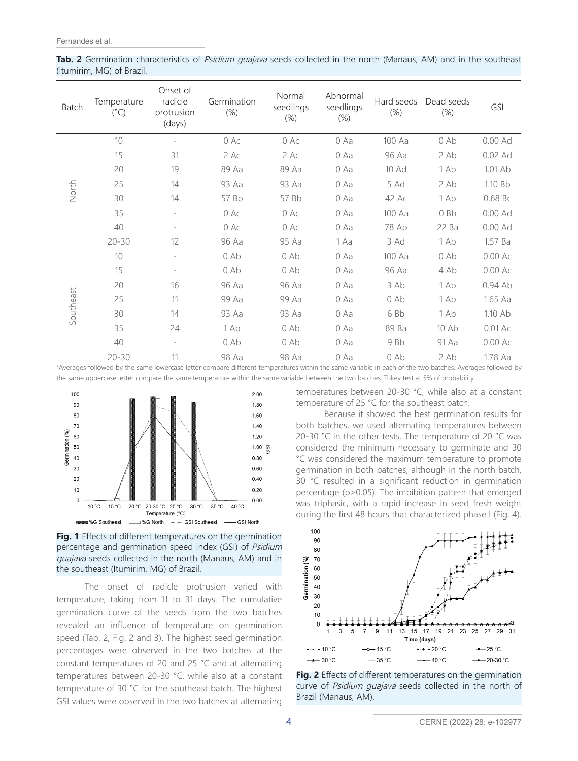**Tab. 2** Germination characteristics of *Psidium quajava* seeds collected in the north (Manaus, AM) and in the southeast (Itumirim, MG) of Brazil.

| Batch     | Temperature<br>$(^{\circ}C)$ | Onset of<br>radicle<br>protrusion<br>(days) | Germination<br>$(\%)$ | Normal<br>seedlings<br>$(\%)$ | Abnormal<br>seedlings<br>$(\%)$ | Hard seeds<br>$(\%)$ | Dead seeds<br>$(\%)$ | GSI       |
|-----------|------------------------------|---------------------------------------------|-----------------------|-------------------------------|---------------------------------|----------------------|----------------------|-----------|
| North     | 10                           | $\overline{\phantom{0}}$                    | 0 Ac                  | 0 Ac                          | 0 Aa                            | 100 Aa               | $0$ Ab               | 0.00 Ad   |
|           | 15                           | 31                                          | 2 Ac                  | $2$ Ac                        | 0 Aa                            | 96 Aa                | 2Ab                  | $0.02$ Ad |
|           | 20                           | 19                                          | 89 Aa                 | 89 Aa                         | 0 Aa                            | 10 Ad                | 1 Ab                 | 1.01 Ab   |
|           | 25                           | 14                                          | 93 Aa                 | 93 Aa                         | 0 Aa                            | 5 Ad                 | 2Ab                  | 1.10 Bb   |
|           | 30                           | 14                                          | 57 Bb                 | 57 Bb                         | 0 Aa                            | 42 Ac                | 1 Ab                 | 0.68 Bc   |
|           | 35                           | ÷.                                          | $0$ Ac                | $0$ Ac                        | 0 Aa                            | 100 Aa               | 0Bb                  | $0.00$ Ad |
|           | 40                           | $\overline{\phantom{0}}$                    | 0 Ac                  | 0 Ac                          | 0 Aa                            | 78 Ab                | 22 Ba                | $0.00$ Ad |
|           | $20 - 30$                    | 12                                          | 96 Aa                 | 95 Aa                         | 1 Aa                            | 3 Ad                 | 1 Ab                 | 1.57 Ba   |
| Southeast | 10                           | $\overline{\phantom{0}}$                    | $0$ Ab                | $0$ Ab                        | 0 Aa                            | 100 Aa               | $0$ Ab               | $0.00$ Ac |
|           | 15                           | -                                           | $0$ Ab                | $0$ Ab                        | 0 Aa                            | 96 Aa                | 4 Ab                 | $0.00$ Ac |
|           | 20                           | 16                                          | 96 Aa                 | 96 Aa                         | 0 Aa                            | 3 Ab                 | 1 Ab                 | $0.94$ Ab |
|           | 25                           | 11                                          | 99 Aa                 | 99 Aa                         | $0$ Aa                          | $0$ Ab               | 1 Ab                 | 1.65 Aa   |
|           | 30                           | 14                                          | 93 Aa                 | 93 Aa                         | 0 Aa                            | 6 Bb                 | 1 Ab                 | 1.10 Ab   |
|           | 35                           | 24                                          | 1 Ab                  | $0$ Ab                        | 0 Aa                            | 89 Ba                | 10 Ab                | $0.01$ Ac |
|           | 40                           | $\overline{\phantom{0}}$                    | $0$ Ab                | $0$ Ab                        | 0 Aa                            | 9 Bb                 | 91 Aa                | $0.00$ Ac |
|           | $20 - 30$                    | 11                                          | 98 Aa                 | 98 Aa                         | 0 Aa                            | $0$ Ab               | 2Ab                  | 1.78 Aa   |

\*Averages followed by the same lowercase letter compare different temperatures within the same variable in each of the two batches. Averages followed by the same uppercase letter compare the same temperature within the same variable between the two batches. Tukey test at 5% of probability.



**Fig. 1** Effects of different temperatures on the germination percentage and germination speed index (GSI) of Psidium guajava seeds collected in the north (Manaus, AM) and in the southeast (Itumirim, MG) of Brazil.

The onset of radicle protrusion varied with temperature, taking from 11 to 31 days. The cumulative germination curve of the seeds from the two batches revealed an influence of temperature on germination speed (Tab. 2, Fig. 2 and 3). The highest seed germination percentages were observed in the two batches at the constant temperatures of 20 and 25 °C and at alternating temperatures between 20-30 °C, while also at a constant temperature of 30 °C for the southeast batch. The highest GSI values were observed in the two batches at alternating

temperatures between 20-30 °C, while also at a constant temperature of 25 °C for the southeast batch.

Because it showed the best germination results for both batches, we used alternating temperatures between 20-30 °C in the other tests. The temperature of 20 °C was considered the minimum necessary to germinate and 30 °C was considered the maximum temperature to promote germination in both batches, although in the north batch, 30 °C resulted in a significant reduction in germination percentage (p>0.05). The imbibition pattern that emerged was triphasic, with a rapid increase in seed fresh weight during the first 48 hours that characterized phase I (Fig. 4).



**Fig. 2** Effects of different temperatures on the germination curve of Psidium guajava seeds collected in the north of Brazil (Manaus, AM).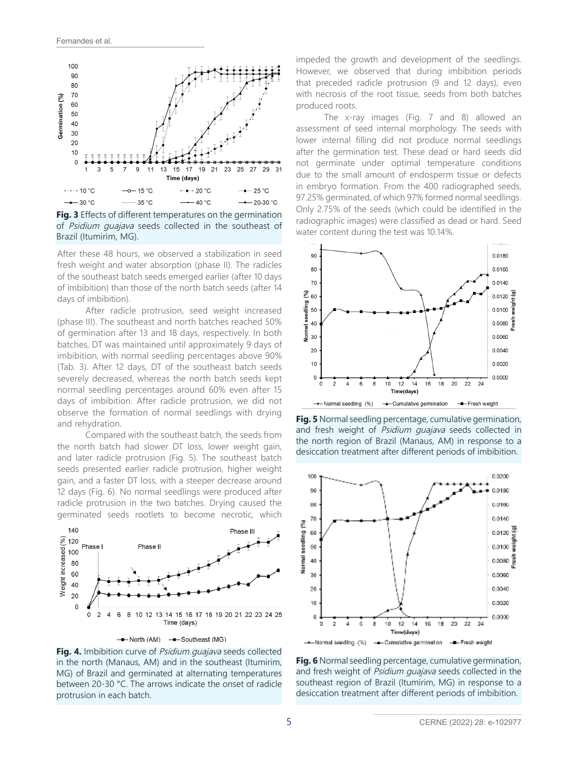

**Fig. 3** Effects of different temperatures on the germination of Psidium quajava seeds collected in the southeast of Brazil (Itumirim, MG).

After these 48 hours, we observed a stabilization in seed fresh weight and water absorption (phase II). The radicles of the southeast batch seeds emerged earlier (after 10 days of imbibition) than those of the north batch seeds (after 14 days of imbibition).

After radicle protrusion, seed weight increased (phase III). The southeast and north batches reached 50% of germination after 13 and 18 days, respectively. In both batches, DT was maintained until approximately 9 days of imbibition, with normal seedling percentages above 90% (Tab. 3). After 12 days, DT of the southeast batch seeds severely decreased, whereas the north batch seeds kept normal seedling percentages around 60% even after 15 days of imbibition. After radicle protrusion, we did not observe the formation of normal seedlings with drying and rehydration.

Compared with the southeast batch, the seeds from the north batch had slower DT loss, lower weight gain, and later radicle protrusion (Fig. 5). The southeast batch seeds presented earlier radicle protrusion, higher weight gain, and a faster DT loss, with a steeper decrease around 12 days (Fig. 6). No normal seedlings were produced after radicle protrusion in the two batches. Drying caused the germinated seeds rootlets to become necrotic, which



--North (AM) -- Southeast (MG)

**Fig. 4.** Imbibition curve of *Psidium quajava* seeds collected in the north (Manaus, AM) and in the southeast (Itumirim, MG) of Brazil and germinated at alternating temperatures between 20-30 °C. The arrows indicate the onset of radicle protrusion in each batch.

impeded the growth and development of the seedlings. However, we observed that during imbibition periods that preceded radicle protrusion (9 and 12 days), even with necrosis of the root tissue, seeds from both batches produced roots.

The x-ray images (Fig. 7 and 8) allowed an assessment of seed internal morphology. The seeds with lower internal filling did not produce normal seedlings after the germination test. These dead or hard seeds did not germinate under optimal temperature conditions due to the small amount of endosperm tissue or defects in embryo formation. From the 400 radiographed seeds, 97.25% germinated, of which 97% formed normal seedlings. Only 2.75% of the seeds (which could be identified in the radiographic images) were classified as dead or hard. Seed water content during the test was 10.14%.



**Fig. 5** Normal seedling percentage, cumulative germination, and fresh weight of Psidium guajava seeds collected in the north region of Brazil (Manaus, AM) in response to a desiccation treatment after different periods of imbibition.



**Fig. 6** Normal seedling percentage, cumulative germination, and fresh weight of Psidium quajava seeds collected in the southeast region of Brazil (Itumirim, MG) in response to a desiccation treatment after different periods of imbibition.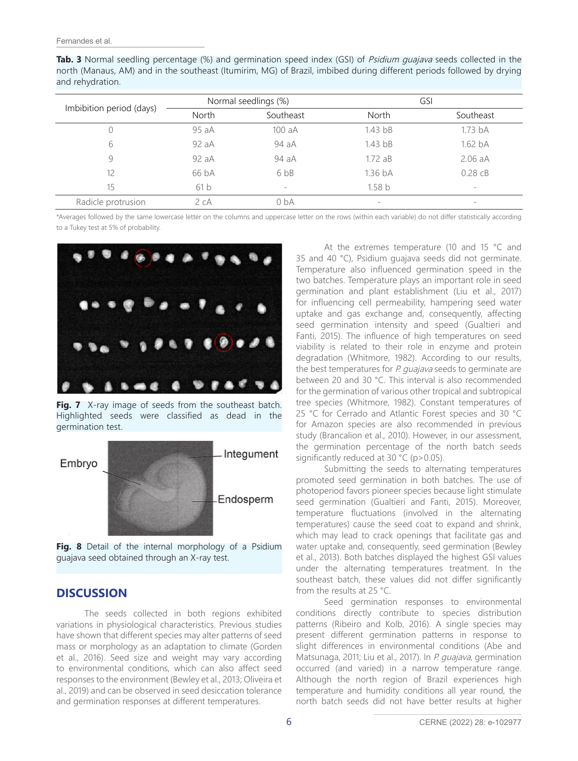**Tab. 3** Normal seedling percentage (%) and germination speed index (GSI) of *Psidium quajava* seeds collected in the north (Manaus, AM) and in the southeast (Itumirim, MG) of Brazil, imbibed during different periods followed by drying and rehydration.

|                          |              | Normal seedlings (%) | GSI                 |                    |  |
|--------------------------|--------------|----------------------|---------------------|--------------------|--|
| Imbibition period (days) | <b>North</b> | Southeast            | <b>North</b>        | Southeast          |  |
|                          | 95 aA        | 100 aA               | 1.43 <sub>bB</sub>  | 1.73 <sub>bA</sub> |  |
| 6                        | 92aA         | 94 aA                | 1.43 <sub>bB</sub>  | 1.62 <sub>bA</sub> |  |
| 9                        | 92 aA        | 94 aA                | 1.72aB              | $2.06$ aA          |  |
| 12                       | 66 bA        | 6 <sub>bB</sub>      | $1.36\,\mathrm{b}A$ | $0.28$ $CB$        |  |
| 15                       | 61b          | $\sim$               | 1.58 <sub>b</sub>   | $-$                |  |
| Radicle protrusion       | 2cA          | 0 <sub>bA</sub>      | -                   | $\sim$             |  |

\*Averages followed by the same lowercase letter on the columns and uppercase letter on the rows (within each variable) do not differ statistically according to a Tukey test at 5% of probability.



**Fig. 7** X-ray image of seeds from the southeast batch. Highlighted seeds were classified as dead in the germination test.



**Fig. 8** Detail of the internal morphology of a Psidium guajava seed obtained through an X-ray test.

# **DISCUSSION**

The seeds collected in both regions exhibited variations in physiological characteristics. Previous studies have shown that different species may alter patterns of seed mass or morphology as an adaptation to climate (Gorden et al., 2016). Seed size and weight may vary according to environmental conditions, which can also affect seed responses to the environment (Bewley et al., 2013; Oliveira et al., 2019) and can be observed in seed desiccation tolerance and germination responses at different temperatures.

At the extremes temperature (10 and 15 °C and 35 and 40 °C), Psidium guajava seeds did not germinate. Temperature also influenced germination speed in the two batches. Temperature plays an important role in seed germination and plant establishment (Liu et al., 2017) for influencing cell permeability, hampering seed water uptake and gas exchange and, consequently, affecting seed germination intensity and speed (Gualtieri and Fanti, 2015). The influence of high temperatures on seed viability is related to their role in enzyme and protein degradation (Whitmore, 1982). According to our results, the best temperatures for P. quajava seeds to germinate are between 20 and 30 °C. This interval is also recommended for the germination of various other tropical and subtropical tree species (Whitmore, 1982). Constant temperatures of 25 °C for Cerrado and Atlantic Forest species and 30 °C for Amazon species are also recommended in previous study (Brancalion et al., 2010). However, in our assessment, the germination percentage of the north batch seeds significantly reduced at 30 °C (p>0.05).

Submitting the seeds to alternating temperatures promoted seed germination in both batches. The use of photoperiod favors pioneer species because light stimulate seed germination (Gualtieri and Fanti, 2015). Moreover, temperature fluctuations (involved in the alternating temperatures) cause the seed coat to expand and shrink, which may lead to crack openings that facilitate gas and water uptake and, consequently, seed germination (Bewley et al., 2013). Both batches displayed the highest GSI values under the alternating temperatures treatment. In the southeast batch, these values did not differ significantly from the results at 25 °C.

Seed germination responses to environmental conditions directly contribute to species distribution patterns (Ribeiro and Kolb, 2016). A single species may present different germination patterns in response to slight differences in environmental conditions (Abe and Matsunaga, 2011; Liu et al., 2017). In P. guajava, germination occurred (and varied) in a narrow temperature range. Although the north region of Brazil experiences high temperature and humidity conditions all year round, the north batch seeds did not have better results at higher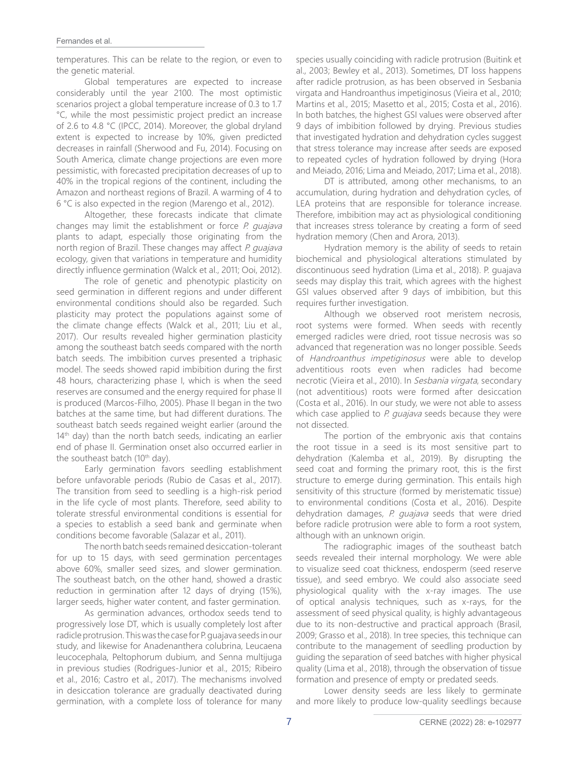temperatures. This can be relate to the region, or even to the genetic material.

Global temperatures are expected to increase considerably until the year 2100. The most optimistic scenarios project a global temperature increase of 0.3 to 1.7 °C, while the most pessimistic project predict an increase of 2.6 to 4.8 °C (IPCC, 2014). Moreover, the global dryland extent is expected to increase by 10%, given predicted decreases in rainfall (Sherwood and Fu, 2014). Focusing on South America, climate change projections are even more pessimistic, with forecasted precipitation decreases of up to 40% in the tropical regions of the continent, including the Amazon and northeast regions of Brazil. A warming of 4 to 6 °C is also expected in the region (Marengo et al., 2012).

Altogether, these forecasts indicate that climate changes may limit the establishment or force  $P$ . quajava plants to adapt, especially those originating from the north region of Brazil. These changes may affect P. quajava ecology, given that variations in temperature and humidity directly influence germination (Walck et al., 2011; Ooi, 2012).

The role of genetic and phenotypic plasticity on seed germination in different regions and under different environmental conditions should also be regarded. Such plasticity may protect the populations against some of the climate change effects (Walck et al., 2011; Liu et al., 2017). Our results revealed higher germination plasticity among the southeast batch seeds compared with the north batch seeds. The imbibition curves presented a triphasic model. The seeds showed rapid imbibition during the first 48 hours, characterizing phase I, which is when the seed reserves are consumed and the energy required for phase II is produced (Marcos-Filho, 2005). Phase II began in the two batches at the same time, but had different durations. The southeast batch seeds regained weight earlier (around the  $14<sup>th</sup>$  day) than the north batch seeds, indicating an earlier end of phase II. Germination onset also occurred earlier in the southeast batch (10<sup>th</sup> day).

Early germination favors seedling establishment before unfavorable periods (Rubio de Casas et al., 2017). The transition from seed to seedling is a high-risk period in the life cycle of most plants. Therefore, seed ability to tolerate stressful environmental conditions is essential for a species to establish a seed bank and germinate when conditions become favorable (Salazar et al., 2011).

The north batch seeds remained desiccation-tolerant for up to 15 days, with seed germination percentages above 60%, smaller seed sizes, and slower germination. The southeast batch, on the other hand, showed a drastic reduction in germination after 12 days of drying (15%), larger seeds, higher water content, and faster germination.

As germination advances, orthodox seeds tend to progressively lose DT, which is usually completely lost after radicle protrusion. This was the case for P. guajava seeds in our study, and likewise for Anadenanthera colubrina, Leucaena leucocephala, Peltophorum dubium, and Senna multijuga in previous studies (Rodrigues-Junior et al., 2015; Ribeiro et al., 2016; Castro et al., 2017). The mechanisms involved in desiccation tolerance are gradually deactivated during germination, with a complete loss of tolerance for many

species usually coinciding with radicle protrusion (Buitink et al., 2003; Bewley et al., 2013). Sometimes, DT loss happens after radicle protrusion, as has been observed in Sesbania virgata and Handroanthus impetiginosus (Vieira et al., 2010; Martins et al., 2015; Masetto et al., 2015; Costa et al., 2016). In both batches, the highest GSI values were observed after 9 days of imbibition followed by drying. Previous studies that investigated hydration and dehydration cycles suggest that stress tolerance may increase after seeds are exposed to repeated cycles of hydration followed by drying (Hora and Meiado, 2016; Lima and Meiado, 2017; Lima et al., 2018).

DT is attributed, among other mechanisms, to an accumulation, during hydration and dehydration cycles, of LEA proteins that are responsible for tolerance increase. Therefore, imbibition may act as physiological conditioning that increases stress tolerance by creating a form of seed hydration memory (Chen and Arora, 2013).

Hydration memory is the ability of seeds to retain biochemical and physiological alterations stimulated by discontinuous seed hydration (Lima et al., 2018). P. guajava seeds may display this trait, which agrees with the highest GSI values observed after 9 days of imbibition, but this requires further investigation.

Although we observed root meristem necrosis, root systems were formed. When seeds with recently emerged radicles were dried, root tissue necrosis was so advanced that regeneration was no longer possible. Seeds of Handroanthus impetiginosus were able to develop adventitious roots even when radicles had become necrotic (Vieira et al., 2010). In Sesbania virgata, secondary (not adventitious) roots were formed after desiccation (Costa et al., 2016). In our study, we were not able to assess which case applied to *P. quajava* seeds because they were not dissected.

The portion of the embryonic axis that contains the root tissue in a seed is its most sensitive part to dehydration (Kalemba et al., 2019). By disrupting the seed coat and forming the primary root, this is the first structure to emerge during germination. This entails high sensitivity of this structure (formed by meristematic tissue) to environmental conditions (Costa et al., 2016). Despite dehydration damages, P. guajava seeds that were dried before radicle protrusion were able to form a root system, although with an unknown origin.

The radiographic images of the southeast batch seeds revealed their internal morphology. We were able to visualize seed coat thickness, endosperm (seed reserve tissue), and seed embryo. We could also associate seed physiological quality with the x-ray images. The use of optical analysis techniques, such as x-rays, for the assessment of seed physical quality, is highly advantageous due to its non-destructive and practical approach (Brasil, 2009; Grasso et al., 2018). In tree species, this technique can contribute to the management of seedling production by guiding the separation of seed batches with higher physical quality (Lima et al., 2018), through the observation of tissue formation and presence of empty or predated seeds.

Lower density seeds are less likely to germinate and more likely to produce low-quality seedlings because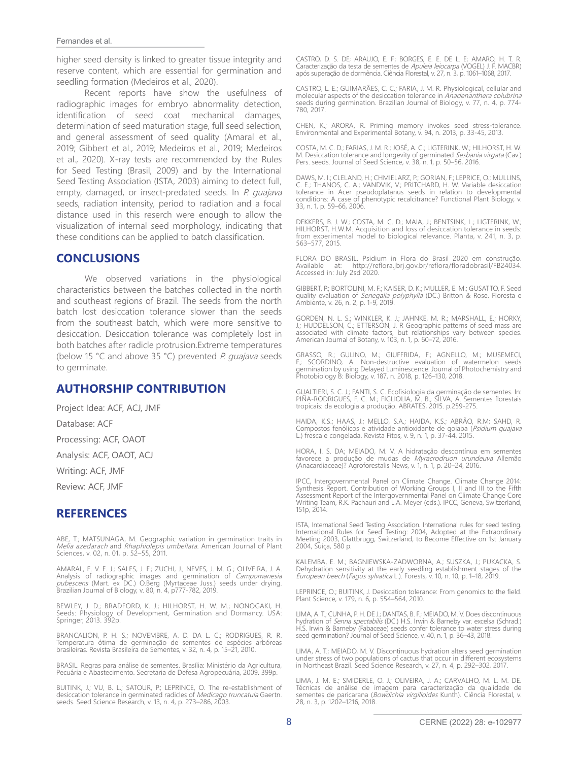#### Fernandes et al.

higher seed density is linked to greater tissue integrity and reserve content, which are essential for germination and seedling formation (Medeiros et al., 2020).

Recent reports have show the usefulness of radiographic images for embryo abnormality detection, identification of seed coat mechanical damages, determination of seed maturation stage, full seed selection, and general assessment of seed quality (Amaral et al., 2019; Gibbert et al., 2019; Medeiros et al., 2019; Medeiros et al., 2020). X-ray tests are recommended by the Rules for Seed Testing (Brasil, 2009) and by the International Seed Testing Association (ISTA, 2003) aiming to detect full, empty, damaged, or insect-predated seeds. In P. quajava seeds, radiation intensity, period to radiation and a focal distance used in this reserch were enough to allow the visualization of internal seed morphology, indicating that these conditions can be applied to batch classification.

## **CONCLUSIONS**

We observed variations in the physiological characteristics between the batches collected in the north and southeast regions of Brazil. The seeds from the north batch lost desiccation tolerance slower than the seeds from the southeast batch, which were more sensitive to desiccation. Desiccation tolerance was completely lost in both batches after radicle protrusion.Extreme temperatures (below 15  $°C$  and above 35  $°C$ ) prevented P. quajava seeds to germinate.

# **AUTHORSHIP CONTRIBUTION**

Project Idea: ACF, ACJ, JMF Database: ACF Processing: ACF, OAOT Analysis: ACF, OAOT, ACJ Writing: ACF, JMF Review: ACF, JMF

# **REFERENCES**

ABE, T.; MATSUNAGA, M. Geographic variation in germination traits in<br>*Melia azedarach* and *Rhaphiolepis umbellata.* American Journal of Plant Sciences, v. 02, n. 01, p. 52–55, 2011.

AMARAL, E. V. E. J.; SALES, J. F.; ZUCHI, J.; NEVES, J. M. G.; OLIVEIRA, J. A.<br>Analysis of radiographic images and germination of *Campomanesia*<br>*pubescens* (Mart. ex DC.) O.Berg (Myrtaceae Juss.) seeds under drying.<br>Brazi

BEWLEY, J. D.; BRADFORD, K. J.; HILHORST, H. W. M.; NONOGAKI, H. Seeds: Physiology of Development, Germination and Dormancy. USA: Springer, 2013. 392p.

BRANCALION, P. H. S.; NOVEMBRE, A. D. DA L. C.; RODRIGUES, R. R. Temperatura ótima de germinação de sementes de espécies arbóreas brasileiras. Revista Brasileira de Sementes, v. 32, n. 4, p. 15–21, 2010.

BRASIL. Regras para análise de sementes. Brasília: Ministério da Agricultura, Pecuária e Abastecimento. Secretaria de Defesa Agropecuária, 2009. 399p.

BUITINK, J.; VU, B. L.; SATOUR, P.; LEPRINCE, O. The re-establishment of desiccation tolerance in germinated radicles of *Medicago truncatula* Gaertn.<br>seeds. Seed Science Research, v. 13, n. 4, p. 273–286, 2003. CASTRO, D. S. DE; ARAUJO, E. F.; BORGES, E. E. DE L. E; AMARO, H. T. R. Caracterização da testa de sementes de Apuleia leiocarpa (VOGEL) J. F. MACBR) após superação de dormência. Ciência Florestal, v. 27, n. 3, p. 1061–1068, 2017.

CASTRO, L. E.; GUIMARÃES, C. C.; FARIA, J. M. R. Physiological, cellular and molecular aspects of the desiccation tolerance in *Anadenanthera colubrina*<br>seeds during germination. Brazilian Journal of Biology, v. 77, n. 4, p. 774-780, 2017.

CHEN, K.; ARORA, R. Priming memory invokes seed stress-tolerance. Environmental and Experimental Botany, v. 94, n. 2013, p. 33-45, 2013.

COSTA, M. C. D.; FARIAS, J. M. R.; JOSE, A. C.; LIGTERINK, W.; HILHORST, H. W.<br>M. Desiccation tolerance and longevity of germinated *Sesbania virgata* (Cav.)<br>Pers. seeds. Journal of Seed Science, v. 38, n. 1, p. 50–56, 201

DAWS, M. I.; CLELAND, H.; CHMIELARZ, P.; GORIAN, F.; LEPRICE, O.; MULLINS, C. E.; THANOS, C. A.; VANDVIK, V.; PRITCHARD, H. W. Variable desiccation<br>tolerance in Acer pseudoplatanus seeds in relation to developmental<br>conditions: A case of phenotypic recalcitrance? Functional Plant Biology, v.<br>33,

DEKKERS, B. J. W.; COSTA, M. C. D.; MAIA, J.; BENTSINK, L.; LIGTERINK, W.; HILHORST, H.W.M. Acquisition and loss of desiccation tolerance in seeds: from experimental model to biological relevance. Planta, v. 241, n. 3, p. 563–577, 2015.

FLORA DO BRASIL. Psidium in Flora do Brasil 2020 em construção. Available at: http://reflora.jbrj.gov.br/reflora/floradobrasil/FB24034. Accessed in: July 2sd 2020.

GIBBERT, P.; BORTOLINI, M. F.; KAISER, D. K.; MULLER, E. M.; GUSATTO, F. Seed quality evaluation of *Senegalia polyphylla* (DC.) Britton & Rose. Floresta e<br>Ambiente, v. 26, n. 2, p. 1-9, 2019.

GORDEN, N. L. S.; WINKLER, K. J.; JAHNKE, M. R.; MARSHALL, E.; HORKY, J.; HUDDELSON, C.; ETTERSON, J. R Geographic patterns of seed mass are associated with climate factors, but relationships vary between species. American Journal of Botany, v. 103, n. 1, p. 60–72, 2016.

GRASSO, R.; GULINO, M.; GIUFFRIDA, F.; AGNELLO, M.; MUSEMECI,<br>F.; SCORDINO, A. Non-destructive evaluation of watermelon seeds<br>germination.by.using.Delayed.Luminescence.Journal.of Photochemistry.and<br>Photobiology.B:Biology,v

GUALTIERI, S. C. J.; FANTI, S. C. Ecofisiologia da germinação de sementes. In:<br>PIÑA-RODRIGUES, F. C. M.; FIGLIOLIA, M. B.; SILVA, A. Sementes florestais<br>tropicais: da ecologia a produção. ABRATES, 2015. p.259-275.

HAIDA, K.S.; HAAS, J.; MELLO, S.A.; HAIDA, K.S.; ABRÃO, R.M; SAHD, R. Compostos fenólicos e atividade antioxidante de goiaba (*Psidium guajava*<br>L.) fresca e congelada. Revista Fitos, v. 9, n. 1, p. 37-44, 2015.

HORA, I. S. DA; MEIADO, M. V. A hidratação descontínua em sementes<br>favorece a produção de mudas de *Myracrodruon urundeuva* Allemão (Anacardiaceae)? Agroforestalis News, v. 1, n. 1, p. 20–24, 2016.

IPCC, Intergovernmental Panel on Climate Change. Climate Change 2014:<br>Synthesis Report. Contribution of Working Groups I, II and III to the Fifth<br>Assessment Report of the Intergovernmental Panel on Climate Change Core<br>Writ 151p, 2014.

ISTA, International Seed Testing Association. International rules for seed testing.<br>International Rules for Seed Testing: 2004, Adopted at the Extraordinary<br>Meeting 2003, Glattbrugg, Switzerland, to Become Effective on 1st

KALEMBA, E. M.; BAGNIEWSKA-ZADWORNA, A.; SUSZKA, J.; PUKACKA, S.<br>Dehydration sensitivity at the early seedling establishment stages of the<br>*European beech (Fagus sylvatica* L.). Forests, v. 10, n. 10, p. 1–18, 2019.

LEPRINCE, O.; BUITINK, J. Desiccation tolerance: From genomics to the field. Plant Science, v. 179, n. 6, p. 554–564, 2010.

LIMA, A. T.; CUNHA, P. H. DE J.; DANTAS, B. F.; MEIADO, M. V. Does discontinuous hydration of *Senna spectabilis* (DC.) H.S. Irwin & Barneby var. excelsa (Schrad.) H.S. Irwin & Barneby (Fabaceae) seeds confer tolerance to water stress during seed germination? Journal of Seed Science, v. 40, n. 1, p. 36–43, 2018.

LIMA, A. T.; MEIADO, M. V. Discontinuous hydration alters seed germination<br>under stress of two populations of cactus that occur in different ecosystems<br>in Northeast Brazil. Seed Science Research, v. 27, n. 4, p. 292–302, 2

LIMA, J. M. E.; SMIDERLE, O. J.; OLIVEIRA, J. A.; CARVALHO, M. L. M. DE.<br>Técnicas de análise de imagem para caracterização da qualidade de<br>sementes de paricarana (*Bowdichia virgilioides* Kunth). Ciência Florestal, v.<br>28,